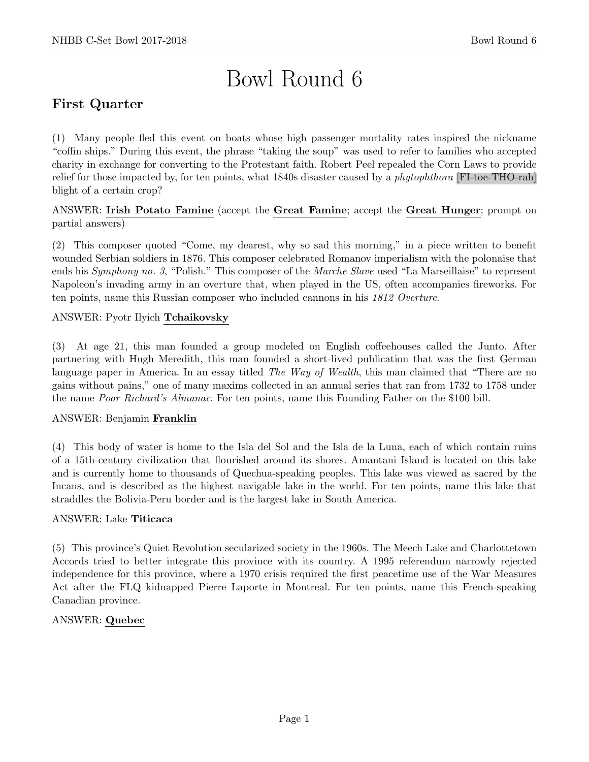# Bowl Round 6

# First Quarter

(1) Many people fled this event on boats whose high passenger mortality rates inspired the nickname "coffin ships." During this event, the phrase "taking the soup" was used to refer to families who accepted charity in exchange for converting to the Protestant faith. Robert Peel repealed the Corn Laws to provide relief for those impacted by, for ten points, what 1840s disaster caused by a phytophthora [FI-toe-THO-rah] blight of a certain crop?

ANSWER: Irish Potato Famine (accept the Great Famine; accept the Great Hunger; prompt on partial answers)

(2) This composer quoted "Come, my dearest, why so sad this morning," in a piece written to benefit wounded Serbian soldiers in 1876. This composer celebrated Romanov imperialism with the polonaise that ends his Symphony no. 3, "Polish." This composer of the Marche Slave used "La Marseillaise" to represent Napoleon's invading army in an overture that, when played in the US, often accompanies fireworks. For ten points, name this Russian composer who included cannons in his 1812 Overture.

# ANSWER: Pyotr Ilyich Tchaikovsky

(3) At age 21, this man founded a group modeled on English coffeehouses called the Junto. After partnering with Hugh Meredith, this man founded a short-lived publication that was the first German language paper in America. In an essay titled *The Way of Wealth*, this man claimed that "There are no gains without pains," one of many maxims collected in an annual series that ran from 1732 to 1758 under the name Poor Richard's Almanac. For ten points, name this Founding Father on the \$100 bill.

#### ANSWER: Benjamin Franklin

(4) This body of water is home to the Isla del Sol and the Isla de la Luna, each of which contain ruins of a 15th-century civilization that flourished around its shores. Amantani Island is located on this lake and is currently home to thousands of Quechua-speaking peoples. This lake was viewed as sacred by the Incans, and is described as the highest navigable lake in the world. For ten points, name this lake that straddles the Bolivia-Peru border and is the largest lake in South America.

#### ANSWER: Lake Titicaca

(5) This province's Quiet Revolution secularized society in the 1960s. The Meech Lake and Charlottetown Accords tried to better integrate this province with its country. A 1995 referendum narrowly rejected independence for this province, where a 1970 crisis required the first peacetime use of the War Measures Act after the FLQ kidnapped Pierre Laporte in Montreal. For ten points, name this French-speaking Canadian province.

# ANSWER: Quebec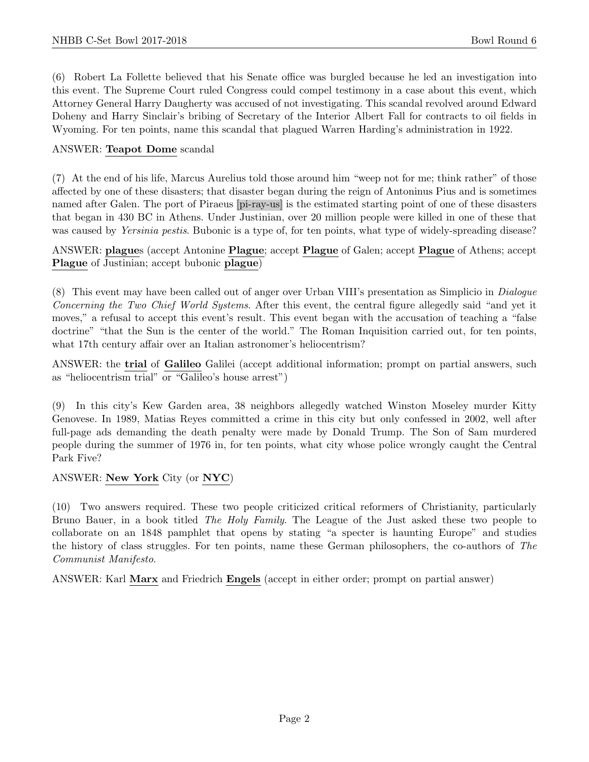(6) Robert La Follette believed that his Senate office was burgled because he led an investigation into this event. The Supreme Court ruled Congress could compel testimony in a case about this event, which Attorney General Harry Daugherty was accused of not investigating. This scandal revolved around Edward Doheny and Harry Sinclair's bribing of Secretary of the Interior Albert Fall for contracts to oil fields in Wyoming. For ten points, name this scandal that plagued Warren Harding's administration in 1922.

### ANSWER: Teapot Dome scandal

(7) At the end of his life, Marcus Aurelius told those around him "weep not for me; think rather" of those affected by one of these disasters; that disaster began during the reign of Antoninus Pius and is sometimes named after Galen. The port of Piraeus [pi-ray-us] is the estimated starting point of one of these disasters that began in 430 BC in Athens. Under Justinian, over 20 million people were killed in one of these that was caused by *Yersinia pestis*. Bubonic is a type of, for ten points, what type of widely-spreading disease?

ANSWER: plagues (accept Antonine Plague; accept Plague of Galen; accept Plague of Athens; accept Plague of Justinian; accept bubonic plague)

(8) This event may have been called out of anger over Urban VIII's presentation as Simplicio in Dialogue Concerning the Two Chief World Systems. After this event, the central figure allegedly said "and yet it moves," a refusal to accept this event's result. This event began with the accusation of teaching a "false doctrine" "that the Sun is the center of the world." The Roman Inquisition carried out, for ten points, what 17th century affair over an Italian astronomer's heliocentrism?

ANSWER: the trial of Galileo Galilei (accept additional information; prompt on partial answers, such as "heliocentrism trial" or "Galileo's house arrest")

(9) In this city's Kew Garden area, 38 neighbors allegedly watched Winston Moseley murder Kitty Genovese. In 1989, Matias Reyes committed a crime in this city but only confessed in 2002, well after full-page ads demanding the death penalty were made by Donald Trump. The Son of Sam murdered people during the summer of 1976 in, for ten points, what city whose police wrongly caught the Central Park Five?

#### ANSWER: New York City (or NYC)

(10) Two answers required. These two people criticized critical reformers of Christianity, particularly Bruno Bauer, in a book titled The Holy Family. The League of the Just asked these two people to collaborate on an 1848 pamphlet that opens by stating "a specter is haunting Europe" and studies the history of class struggles. For ten points, name these German philosophers, the co-authors of The Communist Manifesto.

ANSWER: Karl Marx and Friedrich Engels (accept in either order; prompt on partial answer)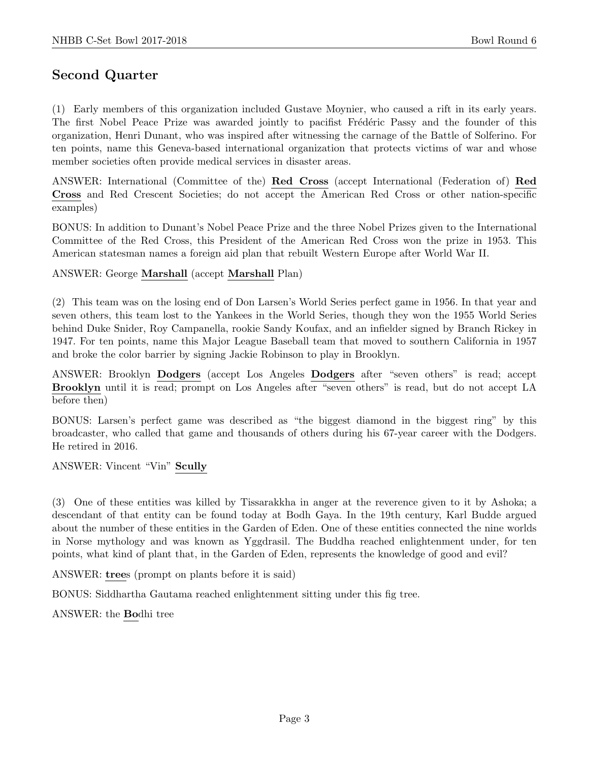# Second Quarter

(1) Early members of this organization included Gustave Moynier, who caused a rift in its early years. The first Nobel Peace Prize was awarded jointly to pacifist Frédéric Passy and the founder of this organization, Henri Dunant, who was inspired after witnessing the carnage of the Battle of Solferino. For ten points, name this Geneva-based international organization that protects victims of war and whose member societies often provide medical services in disaster areas.

ANSWER: International (Committee of the) Red Cross (accept International (Federation of) Red Cross and Red Crescent Societies; do not accept the American Red Cross or other nation-specific examples)

BONUS: In addition to Dunant's Nobel Peace Prize and the three Nobel Prizes given to the International Committee of the Red Cross, this President of the American Red Cross won the prize in 1953. This American statesman names a foreign aid plan that rebuilt Western Europe after World War II.

ANSWER: George Marshall (accept Marshall Plan)

(2) This team was on the losing end of Don Larsen's World Series perfect game in 1956. In that year and seven others, this team lost to the Yankees in the World Series, though they won the 1955 World Series behind Duke Snider, Roy Campanella, rookie Sandy Koufax, and an infielder signed by Branch Rickey in 1947. For ten points, name this Major League Baseball team that moved to southern California in 1957 and broke the color barrier by signing Jackie Robinson to play in Brooklyn.

ANSWER: Brooklyn Dodgers (accept Los Angeles Dodgers after "seven others" is read; accept Brooklyn until it is read; prompt on Los Angeles after "seven others" is read, but do not accept LA before then)

BONUS: Larsen's perfect game was described as "the biggest diamond in the biggest ring" by this broadcaster, who called that game and thousands of others during his 67-year career with the Dodgers. He retired in 2016.

ANSWER: Vincent "Vin" Scully

(3) One of these entities was killed by Tissarakkha in anger at the reverence given to it by Ashoka; a descendant of that entity can be found today at Bodh Gaya. In the 19th century, Karl Budde argued about the number of these entities in the Garden of Eden. One of these entities connected the nine worlds in Norse mythology and was known as Yggdrasil. The Buddha reached enlightenment under, for ten points, what kind of plant that, in the Garden of Eden, represents the knowledge of good and evil?

ANSWER: trees (prompt on plants before it is said)

BONUS: Siddhartha Gautama reached enlightenment sitting under this fig tree.

ANSWER: the Bodhi tree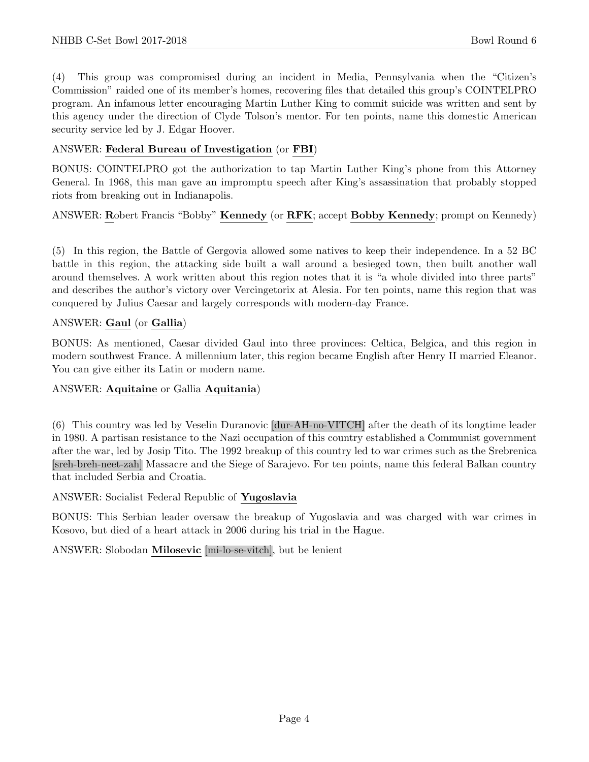(4) This group was compromised during an incident in Media, Pennsylvania when the "Citizen's Commission" raided one of its member's homes, recovering files that detailed this group's COINTELPRO program. An infamous letter encouraging Martin Luther King to commit suicide was written and sent by this agency under the direction of Clyde Tolson's mentor. For ten points, name this domestic American security service led by J. Edgar Hoover.

### ANSWER: Federal Bureau of Investigation (or FBI)

BONUS: COINTELPRO got the authorization to tap Martin Luther King's phone from this Attorney General. In 1968, this man gave an impromptu speech after King's assassination that probably stopped riots from breaking out in Indianapolis.

# ANSWER: Robert Francis "Bobby" Kennedy (or RFK; accept Bobby Kennedy; prompt on Kennedy)

(5) In this region, the Battle of Gergovia allowed some natives to keep their independence. In a 52 BC battle in this region, the attacking side built a wall around a besieged town, then built another wall around themselves. A work written about this region notes that it is "a whole divided into three parts" and describes the author's victory over Vercingetorix at Alesia. For ten points, name this region that was conquered by Julius Caesar and largely corresponds with modern-day France.

#### ANSWER: Gaul (or Gallia)

BONUS: As mentioned, Caesar divided Gaul into three provinces: Celtica, Belgica, and this region in modern southwest France. A millennium later, this region became English after Henry II married Eleanor. You can give either its Latin or modern name.

#### ANSWER: Aquitaine or Gallia Aquitania)

(6) This country was led by Veselin Duranovic [dur-AH-no-VITCH] after the death of its longtime leader in 1980. A partisan resistance to the Nazi occupation of this country established a Communist government after the war, led by Josip Tito. The 1992 breakup of this country led to war crimes such as the Srebrenica [sreh-breh-neet-zah] Massacre and the Siege of Sarajevo. For ten points, name this federal Balkan country that included Serbia and Croatia.

#### ANSWER: Socialist Federal Republic of Yugoslavia

BONUS: This Serbian leader oversaw the breakup of Yugoslavia and was charged with war crimes in Kosovo, but died of a heart attack in 2006 during his trial in the Hague.

#### ANSWER: Slobodan Milosevic [mi-lo-se-vitch], but be lenient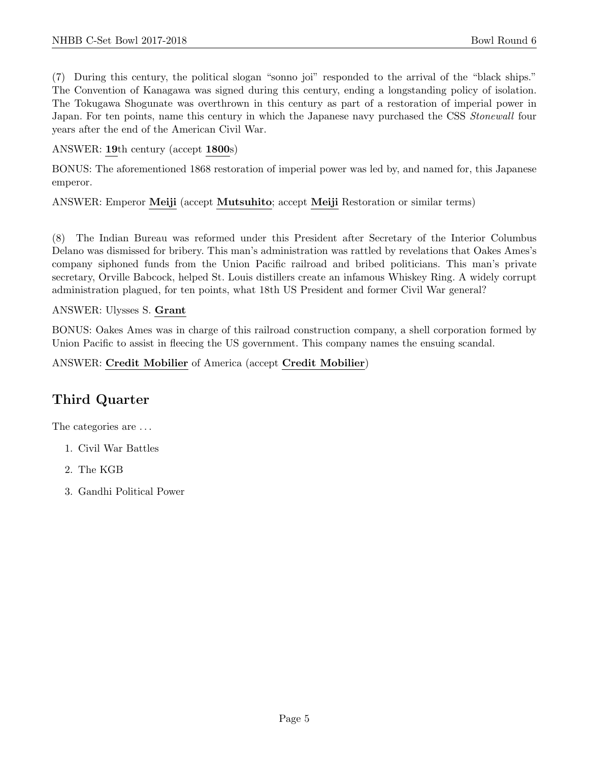(7) During this century, the political slogan "sonno joi" responded to the arrival of the "black ships." The Convention of Kanagawa was signed during this century, ending a longstanding policy of isolation. The Tokugawa Shogunate was overthrown in this century as part of a restoration of imperial power in Japan. For ten points, name this century in which the Japanese navy purchased the CSS *Stonewall* four years after the end of the American Civil War.

ANSWER: 19th century (accept 1800s)

BONUS: The aforementioned 1868 restoration of imperial power was led by, and named for, this Japanese emperor.

ANSWER: Emperor Meiji (accept Mutsuhito; accept Meiji Restoration or similar terms)

(8) The Indian Bureau was reformed under this President after Secretary of the Interior Columbus Delano was dismissed for bribery. This man's administration was rattled by revelations that Oakes Ames's company siphoned funds from the Union Pacific railroad and bribed politicians. This man's private secretary, Orville Babcock, helped St. Louis distillers create an infamous Whiskey Ring. A widely corrupt administration plagued, for ten points, what 18th US President and former Civil War general?

#### ANSWER: Ulysses S. Grant

BONUS: Oakes Ames was in charge of this railroad construction company, a shell corporation formed by Union Pacific to assist in fleecing the US government. This company names the ensuing scandal.

ANSWER: Credit Mobilier of America (accept Credit Mobilier)

# Third Quarter

The categories are  $\dots$ 

- 1. Civil War Battles
- 2. The KGB
- 3. Gandhi Political Power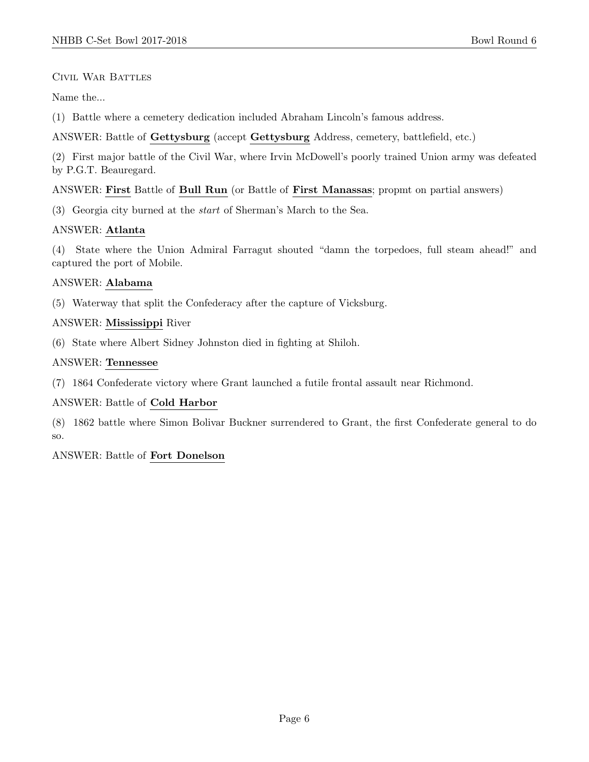# Civil War Battles

Name the...

(1) Battle where a cemetery dedication included Abraham Lincoln's famous address.

ANSWER: Battle of Gettysburg (accept Gettysburg Address, cemetery, battlefield, etc.)

(2) First major battle of the Civil War, where Irvin McDowell's poorly trained Union army was defeated by P.G.T. Beauregard.

#### ANSWER: First Battle of Bull Run (or Battle of First Manassas; propmt on partial answers)

(3) Georgia city burned at the start of Sherman's March to the Sea.

# ANSWER: Atlanta

(4) State where the Union Admiral Farragut shouted "damn the torpedoes, full steam ahead!" and captured the port of Mobile.

# ANSWER: Alabama

(5) Waterway that split the Confederacy after the capture of Vicksburg.

# ANSWER: Mississippi River

(6) State where Albert Sidney Johnston died in fighting at Shiloh.

# ANSWER: Tennessee

(7) 1864 Confederate victory where Grant launched a futile frontal assault near Richmond.

# ANSWER: Battle of Cold Harbor

(8) 1862 battle where Simon Bolivar Buckner surrendered to Grant, the first Confederate general to do so.

# ANSWER: Battle of Fort Donelson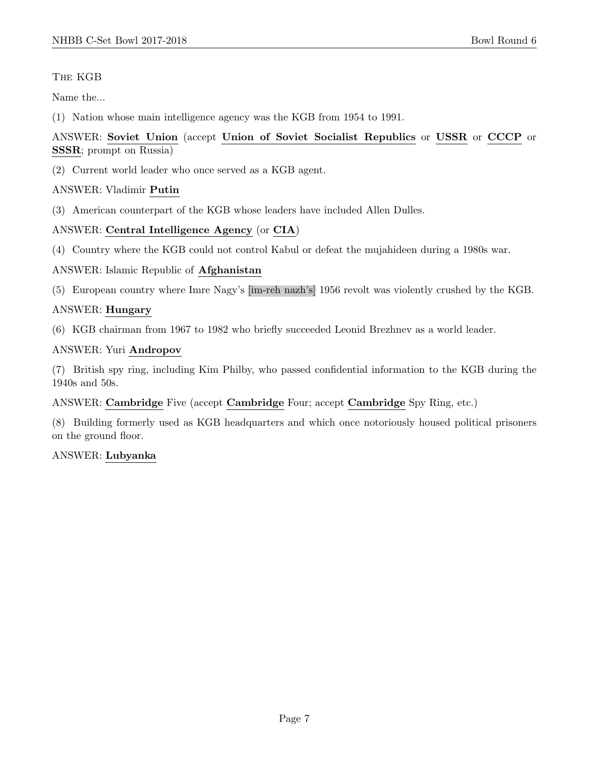# The KGB

Name the...

(1) Nation whose main intelligence agency was the KGB from 1954 to 1991.

# ANSWER: Soviet Union (accept Union of Soviet Socialist Republics or USSR or CCCP or SSSR; prompt on Russia)

(2) Current world leader who once served as a KGB agent.

#### ANSWER: Vladimir Putin

(3) American counterpart of the KGB whose leaders have included Allen Dulles.

# ANSWER: Central Intelligence Agency (or CIA)

(4) Country where the KGB could not control Kabul or defeat the mujahideen during a 1980s war.

#### ANSWER: Islamic Republic of Afghanistan

(5) European country where Imre Nagy's [im-reh nazh's] 1956 revolt was violently crushed by the KGB.

# ANSWER: Hungary

(6) KGB chairman from 1967 to 1982 who briefly succeeded Leonid Brezhnev as a world leader.

#### ANSWER: Yuri Andropov

(7) British spy ring, including Kim Philby, who passed confidential information to the KGB during the 1940s and 50s.

#### ANSWER: Cambridge Five (accept Cambridge Four; accept Cambridge Spy Ring, etc.)

(8) Building formerly used as KGB headquarters and which once notoriously housed political prisoners on the ground floor.

#### ANSWER: Lubyanka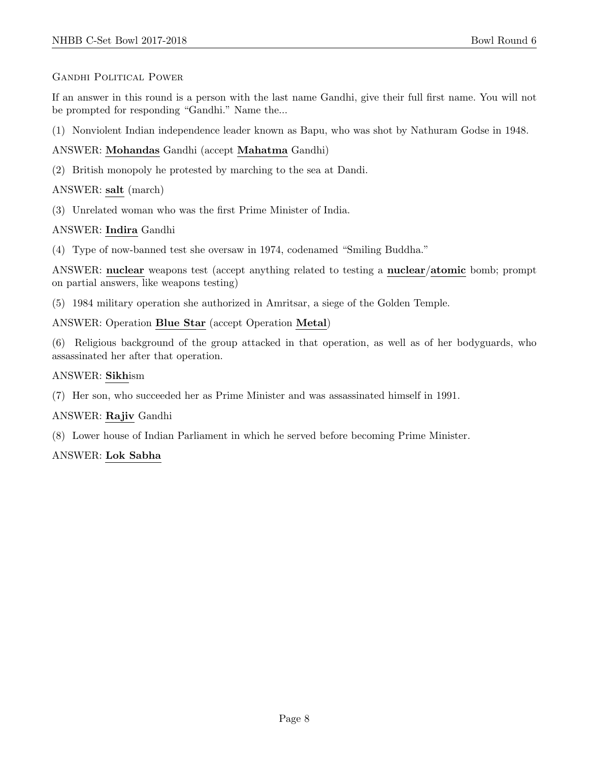# GANDHI POLITICAL POWER

If an answer in this round is a person with the last name Gandhi, give their full first name. You will not be prompted for responding "Gandhi." Name the...

(1) Nonviolent Indian independence leader known as Bapu, who was shot by Nathuram Godse in 1948.

# ANSWER: Mohandas Gandhi (accept Mahatma Gandhi)

(2) British monopoly he protested by marching to the sea at Dandi.

# ANSWER: salt (march)

(3) Unrelated woman who was the first Prime Minister of India.

# ANSWER: Indira Gandhi

(4) Type of now-banned test she oversaw in 1974, codenamed "Smiling Buddha."

ANSWER: nuclear weapons test (accept anything related to testing a nuclear/atomic bomb; prompt on partial answers, like weapons testing)

(5) 1984 military operation she authorized in Amritsar, a siege of the Golden Temple.

# ANSWER: Operation Blue Star (accept Operation Metal)

(6) Religious background of the group attacked in that operation, as well as of her bodyguards, who assassinated her after that operation.

# ANSWER: Sikhism

(7) Her son, who succeeded her as Prime Minister and was assassinated himself in 1991.

#### ANSWER: Rajiv Gandhi

(8) Lower house of Indian Parliament in which he served before becoming Prime Minister.

#### ANSWER: Lok Sabha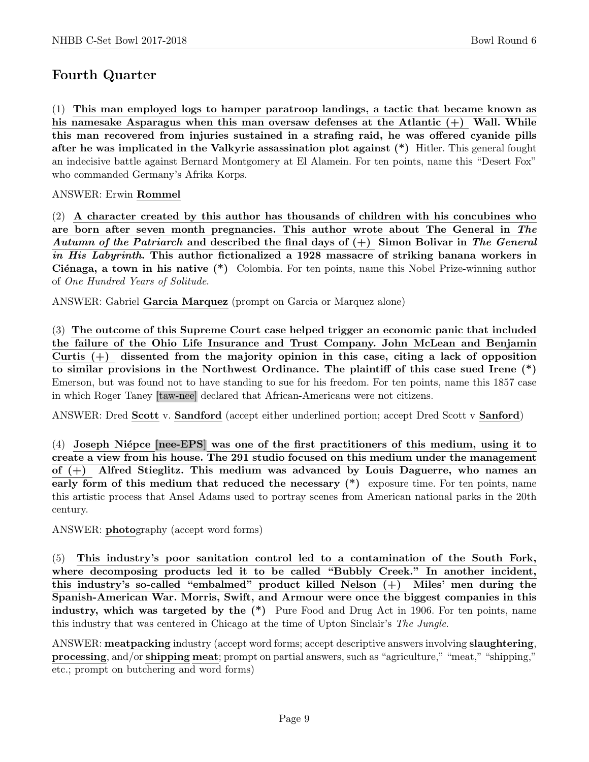# Fourth Quarter

(1) This man employed logs to hamper paratroop landings, a tactic that became known as his namesake Asparagus when this man oversaw defenses at the Atlantic  $(+)$  Wall. While this man recovered from injuries sustained in a strafing raid, he was offered cyanide pills after he was implicated in the Valkyrie assassination plot against (\*) Hitler. This general fought an indecisive battle against Bernard Montgomery at El Alamein. For ten points, name this "Desert Fox" who commanded Germany's Afrika Korps.

# ANSWER: Erwin Rommel

(2) A character created by this author has thousands of children with his concubines who are born after seven month pregnancies. This author wrote about The General in The Autumn of the Patriarch and described the final days of  $(+)$  Simon Bolivar in The General in His Labyrinth. This author fictionalized a 1928 massacre of striking banana workers in Ciénaga, a town in his native  $(*)$  Colombia. For ten points, name this Nobel Prize-winning author of One Hundred Years of Solitude.

ANSWER: Gabriel Garcia Marquez (prompt on Garcia or Marquez alone)

(3) The outcome of this Supreme Court case helped trigger an economic panic that included the failure of the Ohio Life Insurance and Trust Company. John McLean and Benjamin Curtis  $(+)$  dissented from the majority opinion in this case, citing a lack of opposition to similar provisions in the Northwest Ordinance. The plaintiff of this case sued Irene (\*) Emerson, but was found not to have standing to sue for his freedom. For ten points, name this 1857 case in which Roger Taney [taw-nee] declared that African-Americans were not citizens.

ANSWER: Dred Scott v. Sandford (accept either underlined portion; accept Dred Scott v Sanford)

 $(4)$  Joseph Niépce [nee-EPS] was one of the first practitioners of this medium, using it to create a view from his house. The 291 studio focused on this medium under the management of (+) Alfred Stieglitz. This medium was advanced by Louis Daguerre, who names an early form of this medium that reduced the necessary  $(*)$  exposure time. For ten points, name this artistic process that Ansel Adams used to portray scenes from American national parks in the 20th century.

ANSWER: photography (accept word forms)

(5) This industry's poor sanitation control led to a contamination of the South Fork, where decomposing products led it to be called "Bubbly Creek." In another incident, this industry's so-called "embalmed" product killed Nelson (+) Miles' men during the Spanish-American War. Morris, Swift, and Armour were once the biggest companies in this industry, which was targeted by the (\*) Pure Food and Drug Act in 1906. For ten points, name this industry that was centered in Chicago at the time of Upton Sinclair's The Jungle.

ANSWER: meatpacking industry (accept word forms; accept descriptive answers involving slaughtering, processing, and/or shipping meat; prompt on partial answers, such as "agriculture," "meat," "shipping," etc.; prompt on butchering and word forms)